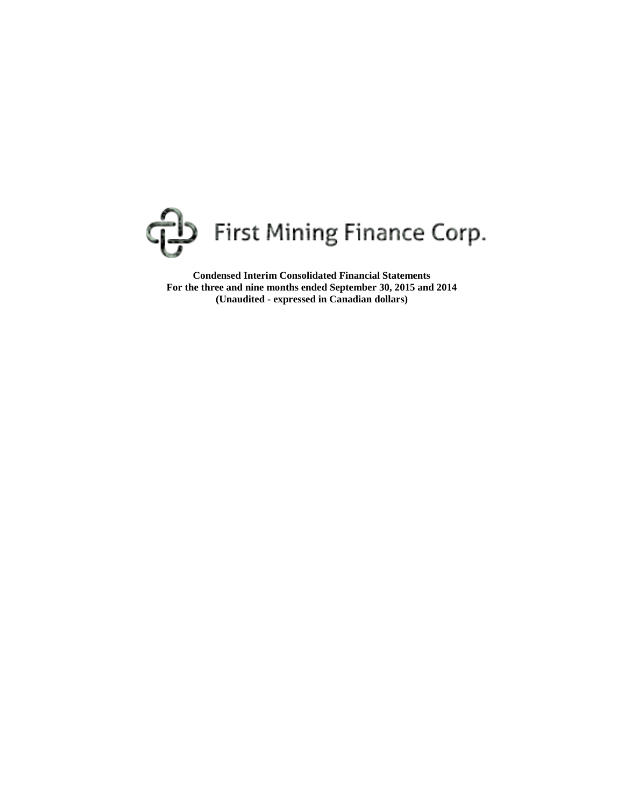

**Condensed Interim Consolidated Financial Statements For the three and nine months ended September 30, 2015 and 2014 (Unaudited - expressed in Canadian dollars)**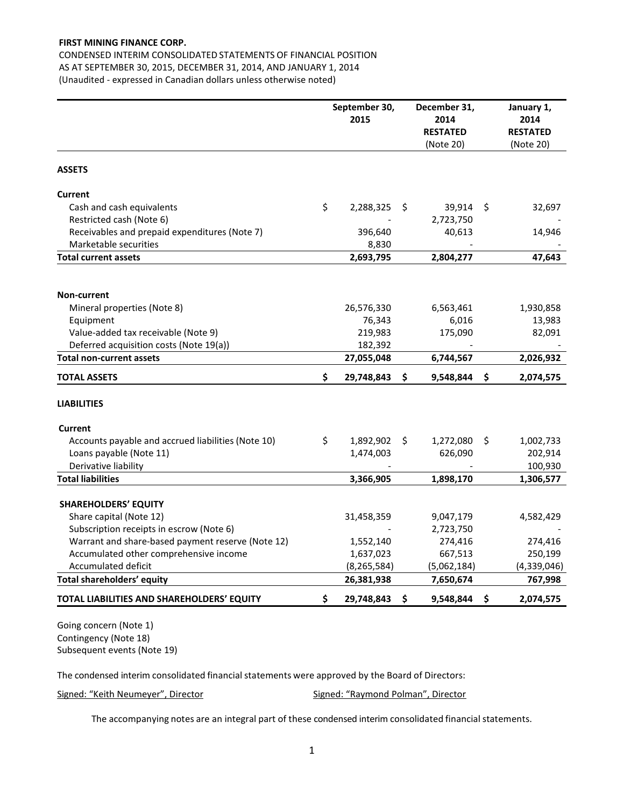CONDENSED INTERIM CONSOLIDATED STATEMENTS OF FINANCIAL POSITION AS AT SEPTEMBER 30, 2015, DECEMBER 31, 2014, AND JANUARY 1, 2014 (Unaudited - expressed in Canadian dollars unless otherwise noted)

|                                                                                             |    | September 30,<br>2015  |     | December 31,<br>2014<br><b>RESTATED</b><br>(Note 20) |      | January 1,<br>2014<br><b>RESTATED</b><br>(Note 20) |
|---------------------------------------------------------------------------------------------|----|------------------------|-----|------------------------------------------------------|------|----------------------------------------------------|
| <b>ASSETS</b>                                                                               |    |                        |     |                                                      |      |                                                    |
| <b>Current</b>                                                                              |    |                        |     |                                                      |      |                                                    |
| Cash and cash equivalents                                                                   | \$ | 2,288,325              | -\$ | 39,914                                               | - \$ | 32,697                                             |
| Restricted cash (Note 6)                                                                    |    |                        |     | 2,723,750                                            |      |                                                    |
| Receivables and prepaid expenditures (Note 7)                                               |    | 396,640                |     | 40,613                                               |      | 14,946                                             |
| Marketable securities                                                                       |    | 8,830                  |     |                                                      |      |                                                    |
| <b>Total current assets</b>                                                                 |    | 2,693,795              |     | 2,804,277                                            |      | 47,643                                             |
|                                                                                             |    |                        |     |                                                      |      |                                                    |
| Non-current                                                                                 |    |                        |     |                                                      |      |                                                    |
| Mineral properties (Note 8)                                                                 |    | 26,576,330             |     | 6,563,461                                            |      | 1,930,858                                          |
| Equipment                                                                                   |    | 76,343                 |     | 6,016                                                |      | 13,983                                             |
| Value-added tax receivable (Note 9)                                                         |    | 219,983                |     | 175,090                                              |      | 82,091                                             |
| Deferred acquisition costs (Note 19(a))                                                     |    | 182,392                |     |                                                      |      |                                                    |
| <b>Total non-current assets</b>                                                             |    | 27,055,048             |     | 6,744,567                                            |      | 2,026,932                                          |
| <b>TOTAL ASSETS</b>                                                                         | \$ | 29,748,843             | \$. | 9,548,844                                            | \$.  | 2,074,575                                          |
| <b>LIABILITIES</b>                                                                          |    |                        |     |                                                      |      |                                                    |
| Current                                                                                     |    |                        |     |                                                      |      |                                                    |
| Accounts payable and accrued liabilities (Note 10)                                          | \$ | 1,892,902              | S.  | 1,272,080                                            | S.   | 1,002,733                                          |
| Loans payable (Note 11)                                                                     |    | 1,474,003              |     | 626,090                                              |      | 202,914                                            |
| Derivative liability                                                                        |    |                        |     |                                                      |      | 100,930                                            |
| <b>Total liabilities</b>                                                                    |    | 3,366,905              |     | 1,898,170                                            |      | 1,306,577                                          |
|                                                                                             |    |                        |     |                                                      |      |                                                    |
| <b>SHAREHOLDERS' EQUITY</b>                                                                 |    |                        |     |                                                      |      |                                                    |
| Share capital (Note 12)                                                                     |    | 31,458,359             |     | 9,047,179                                            |      | 4,582,429                                          |
| Subscription receipts in escrow (Note 6)                                                    |    |                        |     | 2,723,750                                            |      |                                                    |
| Warrant and share-based payment reserve (Note 12)<br>Accumulated other comprehensive income |    | 1,552,140<br>1,637,023 |     | 274,416<br>667,513                                   |      | 274,416<br>250,199                                 |
| Accumulated deficit                                                                         |    | (8, 265, 584)          |     | (5,062,184)                                          |      | (4,339,046)                                        |
| Total shareholders' equity                                                                  |    | 26,381,938             |     | 7,650,674                                            |      | 767,998                                            |
|                                                                                             |    |                        |     |                                                      |      |                                                    |
| TOTAL LIABILITIES AND SHAREHOLDERS' EQUITY                                                  | Ś. | 29,748,843             | \$. | 9,548,844                                            | \$   | 2,074,575                                          |

Going concern (Note 1) Contingency (Note 18) Subsequent events (Note 19)

The condensed interim consolidated financial statements were approved by the Board of Directors:

Signed: "Keith Neumeyer", Director Signed: "Raymond Polman", Director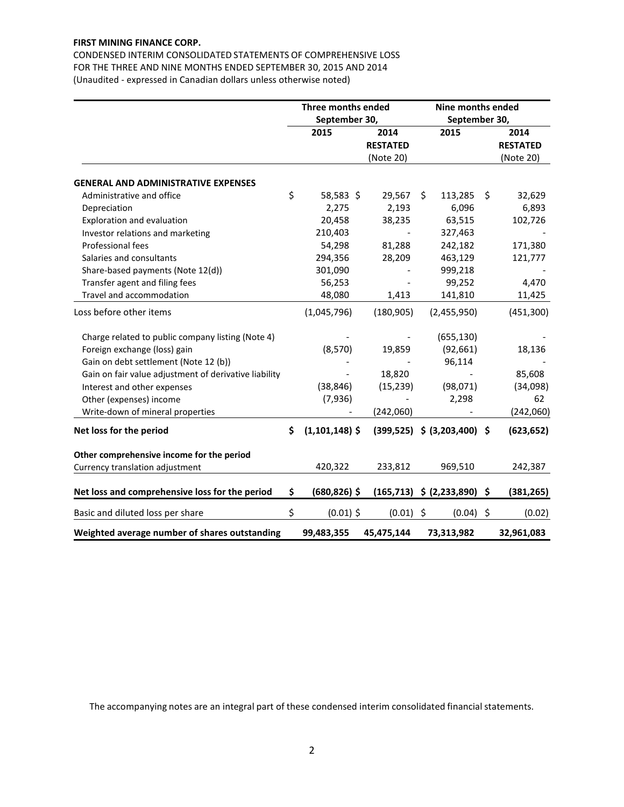CONDENSED INTERIM CONSOLIDATED STATEMENTS OF COMPREHENSIVE LOSS FOR THE THREE AND NINE MONTHS ENDED SEPTEMBER 30, 2015 AND 2014 (Unaudited - expressed in Canadian dollars unless otherwise noted)

|                                                       | <b>Three months ended</b><br>September 30, |                                      |    | Nine months ended<br>September 30, |    |                                      |
|-------------------------------------------------------|--------------------------------------------|--------------------------------------|----|------------------------------------|----|--------------------------------------|
|                                                       | 2015                                       | 2014<br><b>RESTATED</b><br>(Note 20) |    | 2015                               |    | 2014<br><b>RESTATED</b><br>(Note 20) |
| <b>GENERAL AND ADMINISTRATIVE EXPENSES</b>            |                                            |                                      |    |                                    |    |                                      |
| Administrative and office                             | \$<br>58,583 \$                            | 29,567                               | Ŝ. | 113,285                            | \$ | 32,629                               |
| Depreciation                                          | 2,275                                      | 2,193                                |    | 6,096                              |    | 6,893                                |
| Exploration and evaluation                            | 20,458                                     | 38,235                               |    | 63,515                             |    | 102,726                              |
| Investor relations and marketing                      | 210,403                                    |                                      |    | 327,463                            |    |                                      |
| Professional fees                                     | 54,298                                     | 81,288                               |    | 242,182                            |    | 171,380                              |
| Salaries and consultants                              | 294,356                                    | 28,209                               |    | 463,129                            |    | 121,777                              |
| Share-based payments (Note 12(d))                     | 301,090                                    |                                      |    | 999,218                            |    |                                      |
| Transfer agent and filing fees                        | 56,253                                     |                                      |    | 99,252                             |    | 4,470                                |
| Travel and accommodation                              | 48,080                                     | 1,413                                |    | 141,810                            |    | 11,425                               |
| Loss before other items                               | (1,045,796)                                | (180, 905)                           |    | (2,455,950)                        |    | (451, 300)                           |
| Charge related to public company listing (Note 4)     |                                            |                                      |    | (655, 130)                         |    |                                      |
| Foreign exchange (loss) gain                          | (8, 570)                                   | 19,859                               |    | (92, 661)                          |    | 18,136                               |
| Gain on debt settlement (Note 12 (b))                 |                                            |                                      |    | 96,114                             |    |                                      |
| Gain on fair value adjustment of derivative liability |                                            | 18,820                               |    |                                    |    | 85,608                               |
| Interest and other expenses                           | (38, 846)                                  | (15, 239)                            |    | (98,071)                           |    | (34,098)                             |
| Other (expenses) income                               | (7,936)                                    |                                      |    | 2,298                              |    | 62                                   |
| Write-down of mineral properties                      |                                            | (242,060)                            |    |                                    |    | (242,060)                            |
| Net loss for the period                               | \$<br>$(1,101,148)$ \$                     |                                      |    | $(399,525)$ \$ $(3,203,400)$ \$    |    | (623, 652)                           |
| Other comprehensive income for the period             |                                            |                                      |    |                                    |    |                                      |
| Currency translation adjustment                       | 420,322                                    | 233,812                              |    | 969,510                            |    | 242,387                              |
| Net loss and comprehensive loss for the period        | \$<br>(680,826) \$                         |                                      |    | $(165,713)$ \$ $(2,233,890)$ \$    |    | (381, 265)                           |
| Basic and diluted loss per share                      | \$<br>$(0.01)$ \$                          | $(0.01)$ \$                          |    | $(0.04)$ \$                        |    | (0.02)                               |
| Weighted average number of shares outstanding         | 99,483,355                                 | 45,475,144                           |    | 73,313,982                         |    | 32,961,083                           |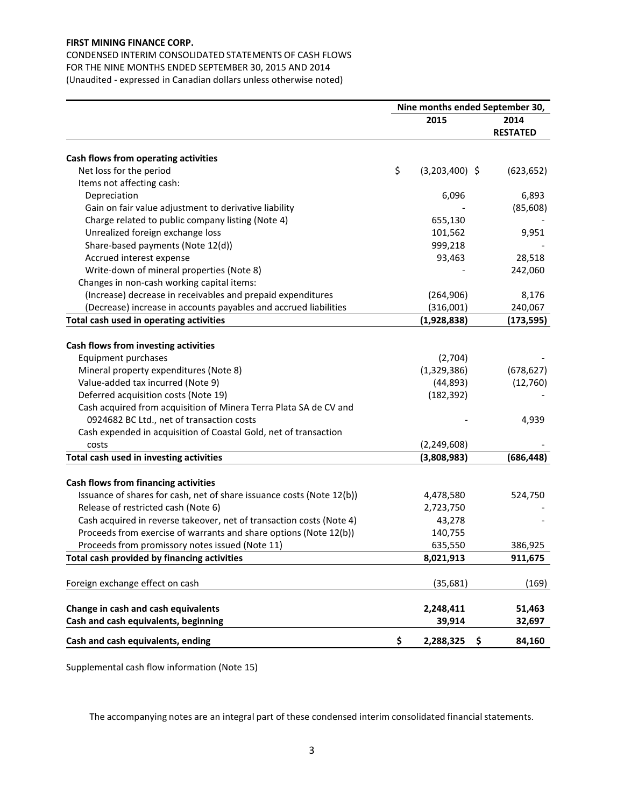# CONDENSED INTERIM CONSOLIDATED STATEMENTS OF CASH FLOWS FOR THE NINE MONTHS ENDED SEPTEMBER 30, 2015 AND 2014

(Unaudited - expressed in Canadian dollars unless otherwise noted)

|                                                                       | Nine months ended September 30, |                  |                         |  |  |
|-----------------------------------------------------------------------|---------------------------------|------------------|-------------------------|--|--|
|                                                                       |                                 | 2015             | 2014<br><b>RESTATED</b> |  |  |
| Cash flows from operating activities                                  |                                 |                  |                         |  |  |
| Net loss for the period                                               | \$                              | $(3,203,400)$ \$ | (623, 652)              |  |  |
| Items not affecting cash:                                             |                                 |                  |                         |  |  |
| Depreciation                                                          |                                 | 6,096            | 6,893                   |  |  |
| Gain on fair value adjustment to derivative liability                 |                                 |                  | (85, 608)               |  |  |
| Charge related to public company listing (Note 4)                     |                                 | 655,130          |                         |  |  |
| Unrealized foreign exchange loss                                      |                                 | 101,562          | 9,951                   |  |  |
| Share-based payments (Note 12(d))                                     |                                 | 999,218          |                         |  |  |
| Accrued interest expense                                              |                                 | 93,463           | 28,518                  |  |  |
| Write-down of mineral properties (Note 8)                             |                                 |                  | 242,060                 |  |  |
| Changes in non-cash working capital items:                            |                                 |                  |                         |  |  |
| (Increase) decrease in receivables and prepaid expenditures           |                                 | (264, 906)       | 8,176                   |  |  |
| (Decrease) increase in accounts payables and accrued liabilities      |                                 | (316,001)        | 240,067                 |  |  |
| Total cash used in operating activities                               |                                 | (1,928,838)      | (173, 595)              |  |  |
|                                                                       |                                 |                  |                         |  |  |
| Cash flows from investing activities                                  |                                 |                  |                         |  |  |
| Equipment purchases                                                   |                                 | (2,704)          |                         |  |  |
| Mineral property expenditures (Note 8)                                |                                 | (1,329,386)      | (678, 627)              |  |  |
| Value-added tax incurred (Note 9)                                     |                                 | (44, 893)        | (12,760)                |  |  |
| Deferred acquisition costs (Note 19)                                  |                                 | (182, 392)       |                         |  |  |
| Cash acquired from acquisition of Minera Terra Plata SA de CV and     |                                 |                  |                         |  |  |
| 0924682 BC Ltd., net of transaction costs                             |                                 |                  | 4,939                   |  |  |
| Cash expended in acquisition of Coastal Gold, net of transaction      |                                 |                  |                         |  |  |
| costs                                                                 |                                 | (2, 249, 608)    |                         |  |  |
| Total cash used in investing activities                               |                                 | (3,808,983)      | (686, 448)              |  |  |
| Cash flows from financing activities                                  |                                 |                  |                         |  |  |
| Issuance of shares for cash, net of share issuance costs (Note 12(b)) |                                 | 4,478,580        | 524,750                 |  |  |
| Release of restricted cash (Note 6)                                   |                                 | 2,723,750        |                         |  |  |
| Cash acquired in reverse takeover, net of transaction costs (Note 4)  |                                 | 43,278           |                         |  |  |
| Proceeds from exercise of warrants and share options (Note 12(b))     |                                 | 140,755          |                         |  |  |
| Proceeds from promissory notes issued (Note 11)                       |                                 | 635,550          | 386,925                 |  |  |
| Total cash provided by financing activities                           |                                 | 8,021,913        | 911,675                 |  |  |
|                                                                       |                                 |                  |                         |  |  |
| Foreign exchange effect on cash                                       |                                 | (35, 681)        | (169)                   |  |  |
| Change in cash and cash equivalents                                   |                                 | 2,248,411        | 51,463                  |  |  |
| Cash and cash equivalents, beginning                                  |                                 | 39,914           | 32,697                  |  |  |
| Cash and cash equivalents, ending                                     | \$                              | \$<br>2,288,325  | 84,160                  |  |  |

Supplemental cash flow information (Note 15)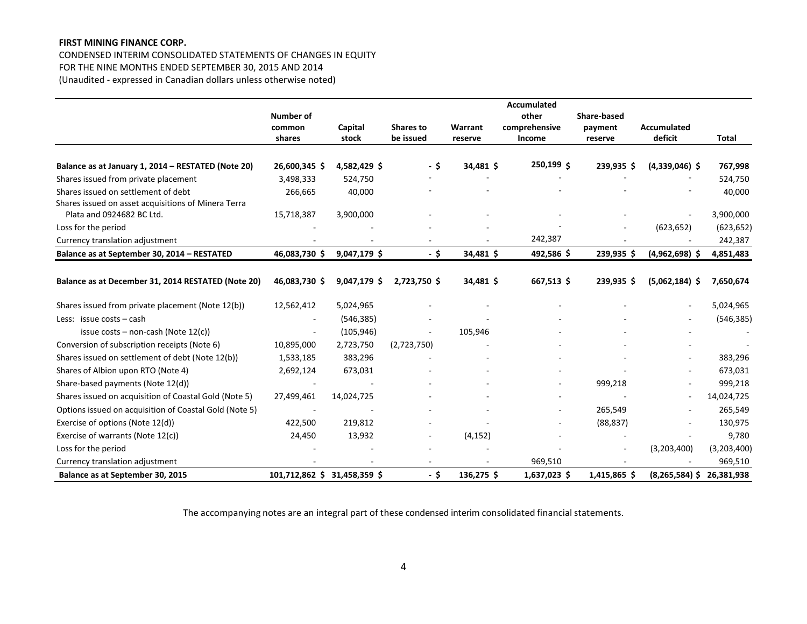# CONDENSED INTERIM CONSOLIDATED STATEMENTS OF CHANGES IN EQUITY

FOR THE NINE MONTHS ENDED SEPTEMBER 30, 2015 AND 2014

(Unaudited - expressed in Canadian dollars unless otherwise noted)

|                                                        |                              |              |                          |           | <b>Accumulated</b> |                    |                    |              |
|--------------------------------------------------------|------------------------------|--------------|--------------------------|-----------|--------------------|--------------------|--------------------|--------------|
|                                                        | Number of                    |              |                          |           | other              | <b>Share-based</b> |                    |              |
|                                                        | common                       | Capital      | <b>Shares to</b>         | Warrant   | comprehensive      | payment            | <b>Accumulated</b> |              |
|                                                        | shares                       | stock        | be issued                | reserve   | <b>Income</b>      | reserve            | deficit            | <b>Total</b> |
|                                                        |                              |              |                          |           |                    |                    |                    |              |
| Balance as at January 1, 2014 - RESTATED (Note 20)     | 26,600,345 \$                | 4,582,429 \$ | - \$                     | 34,481 \$ | 250,199 \$         | 239,935 \$         | $(4,339,046)$ \$   | 767,998      |
| Shares issued from private placement                   | 3,498,333                    | 524,750      |                          |           |                    |                    |                    | 524,750      |
| Shares issued on settlement of debt                    | 266,665                      | 40,000       |                          |           |                    |                    |                    | 40,000       |
| Shares issued on asset acquisitions of Minera Terra    |                              |              |                          |           |                    |                    |                    |              |
| Plata and 0924682 BC Ltd.                              | 15,718,387                   | 3,900,000    |                          |           |                    |                    |                    | 3,900,000    |
| Loss for the period                                    |                              |              |                          |           |                    |                    | (623, 652)         | (623, 652)   |
| Currency translation adjustment                        |                              |              |                          |           | 242,387            |                    |                    | 242,387      |
| Balance as at September 30, 2014 - RESTATED            | 46,083,730 \$                | 9,047,179 \$ | $-5$                     | 34,481 \$ | 492,586\$          | 239,935 \$         | $(4,962,698)$ \$   | 4,851,483    |
|                                                        |                              |              |                          |           |                    |                    |                    |              |
| Balance as at December 31, 2014 RESTATED (Note 20)     | 46,083,730 \$                | 9,047,179 \$ | 2,723,750 \$             | 34,481 \$ | 667,513\$          | 239.935 \$         | $(5,062,184)$ \$   | 7,650,674    |
| Shares issued from private placement (Note 12(b))      | 12,562,412                   | 5,024,965    |                          |           |                    |                    |                    | 5,024,965    |
| Less: issue costs - cash                               |                              | (546, 385)   |                          |           |                    |                    |                    | (546, 385)   |
| issue $costs$ – non-cash (Note $12(c)$ )               |                              | (105, 946)   | $\overline{\phantom{a}}$ | 105,946   |                    |                    |                    |              |
| Conversion of subscription receipts (Note 6)           | 10,895,000                   | 2,723,750    | (2,723,750)              |           |                    |                    |                    |              |
| Shares issued on settlement of debt (Note 12(b))       | 1,533,185                    | 383,296      |                          |           |                    |                    | ÷.                 | 383,296      |
| Shares of Albion upon RTO (Note 4)                     | 2,692,124                    | 673,031      |                          |           |                    |                    |                    | 673,031      |
| Share-based payments (Note 12(d))                      |                              |              |                          |           |                    | 999,218            |                    | 999,218      |
| Shares issued on acquisition of Coastal Gold (Note 5)  | 27,499,461                   | 14,024,725   |                          |           |                    |                    |                    | 14,024,725   |
| Options issued on acquisition of Coastal Gold (Note 5) |                              |              |                          |           |                    | 265,549            |                    | 265,549      |
| Exercise of options (Note 12(d))                       | 422,500                      | 219,812      |                          |           |                    | (88, 837)          |                    | 130,975      |
| Exercise of warrants (Note 12(c))                      | 24,450                       | 13,932       |                          | (4, 152)  |                    |                    |                    | 9,780        |
| Loss for the period                                    |                              |              |                          |           |                    |                    | (3,203,400)        | (3,203,400)  |
| Currency translation adjustment                        |                              |              |                          |           | 969,510            |                    |                    | 969,510      |
| Balance as at September 30, 2015                       | 101,712,862 \$ 31,458,359 \$ |              | - \$                     | 136,275\$ | $1,637,023$ \$     | 1,415,865 \$       | $(8, 265, 584)$ \$ | 26,381,938   |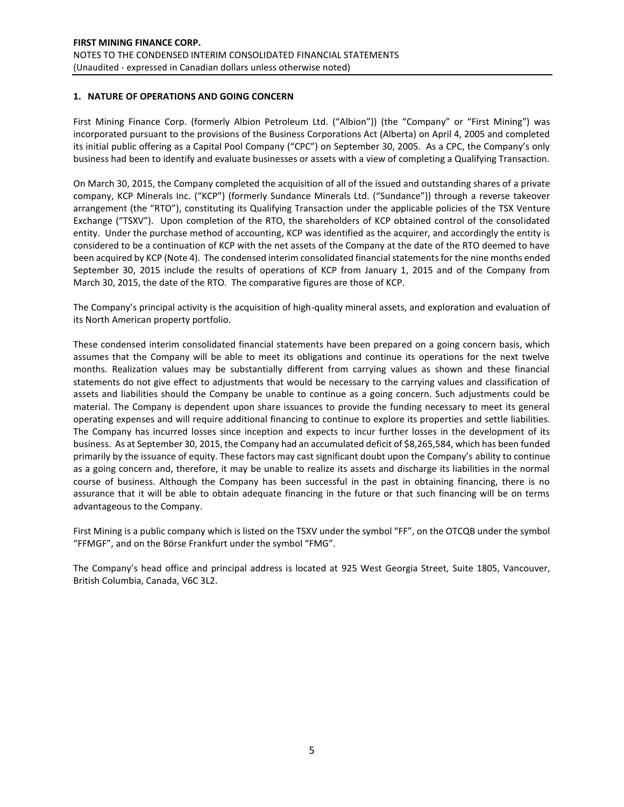# **1. NATURE OF OPERATIONS AND GOING CONCERN**

First Mining Finance Corp. (formerly Albion Petroleum Ltd. ("Albion")) (the "Company" or "First Mining") was incorporated pursuant to the provisions of the Business Corporations Act (Alberta) on April 4, 2005 and completed its initial public offering as a Capital Pool Company ("CPC") on September 30, 2005. As a CPC, the Company's only business had been to identify and evaluate businesses or assets with a view of completing a Qualifying Transaction.

On March 30, 2015, the Company completed the acquisition of all of the issued and outstanding shares of a private company, KCP Minerals Inc. ("KCP") (formerly Sundance Minerals Ltd. ("Sundance")) through a reverse takeover arrangement (the "RTO"), constituting its Qualifying Transaction under the applicable policies of the TSX Venture Exchange ("TSXV"). Upon completion of the RTO, the shareholders of KCP obtained control of the consolidated entity. Under the purchase method of accounting, KCP was identified as the acquirer, and accordingly the entity is considered to be a continuation of KCP with the net assets of the Company at the date of the RTO deemed to have been acquired by KCP (Note 4). The condensed interim consolidated financial statements for the nine months ended September 30, 2015 include the results of operations of KCP from January 1, 2015 and of the Company from March 30, 2015, the date of the RTO. The comparative figures are those of KCP.

The Company's principal activity is the acquisition of high-quality mineral assets, and exploration and evaluation of its North American property portfolio.

These condensed interim consolidated financial statements have been prepared on a going concern basis, which assumes that the Company will be able to meet its obligations and continue its operations for the next twelve months. Realization values may be substantially different from carrying values as shown and these financial statements do not give effect to adjustments that would be necessary to the carrying values and classification of assets and liabilities should the Company be unable to continue as a going concern. Such adjustments could be material. The Company is dependent upon share issuances to provide the funding necessary to meet its general operating expenses and will require additional financing to continue to explore its properties and settle liabilities. The Company has incurred losses since inception and expects to incur further losses in the development of its business. As at September 30, 2015, the Company had an accumulated deficit of \$8,265,584, which has been funded primarily by the issuance of equity. These factors may cast significant doubt upon the Company's ability to continue as a going concern and, therefore, it may be unable to realize its assets and discharge its liabilities in the normal course of business. Although the Company has been successful in the past in obtaining financing, there is no assurance that it will be able to obtain adequate financing in the future or that such financing will be on terms advantageous to the Company.

First Mining is a public company which is listed on the TSXV under the symbol "FF", on the OTCQB under the symbol "FFMGF", and on the Börse Frankfurt under the symbol "FMG".

The Company's head office and principal address is located at 925 West Georgia Street, Suite 1805, Vancouver, British Columbia, Canada, V6C 3L2.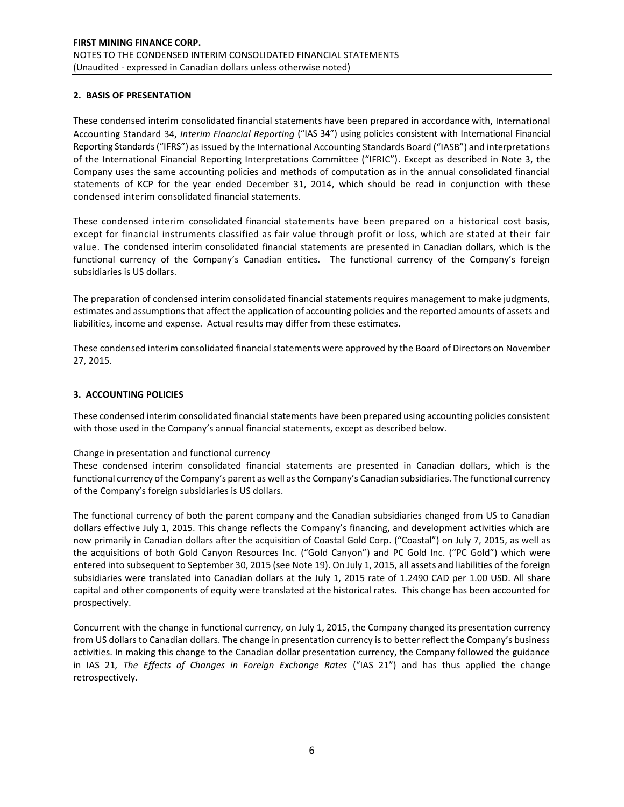# **2. BASIS OF PRESENTATION**

These condensed interim consolidated financial statements have been prepared in accordance with, International Accounting Standard 34, *Interim Financial Reporting* ("IAS 34") using policies consistent with International Financial Reporting Standards ("IFRS") as issued by the International Accounting Standards Board ("IASB") and interpretations of the International Financial Reporting Interpretations Committee ("IFRIC"). Except as described in Note 3, the Company uses the same accounting policies and methods of computation as in the annual consolidated financial statements of KCP for the year ended December 31, 2014, which should be read in conjunction with these condensed interim consolidated financial statements.

These condensed interim consolidated financial statements have been prepared on a historical cost basis, except for financial instruments classified as fair value through profit or loss, which are stated at their fair value. The condensed interim consolidated financial statements are presented in Canadian dollars, which is the functional currency of the Company's Canadian entities. The functional currency of the Company's foreign subsidiaries is US dollars.

The preparation of condensed interim consolidated financial statements requires management to make judgments, estimates and assumptions that affect the application of accounting policies and the reported amounts of assets and liabilities, income and expense. Actual results may differ from these estimates.

These condensed interim consolidated financial statements were approved by the Board of Directors on November 27, 2015.

# **3. ACCOUNTING POLICIES**

These condensed interim consolidated financial statements have been prepared using accounting policies consistent with those used in the Company's annual financial statements, except as described below.

# Change in presentation and functional currency

These condensed interim consolidated financial statements are presented in Canadian dollars, which is the functional currency of the Company's parent as well as the Company's Canadian subsidiaries. The functional currency of the Company's foreign subsidiaries is US dollars.

The functional currency of both the parent company and the Canadian subsidiaries changed from US to Canadian dollars effective July 1, 2015. This change reflects the Company's financing, and development activities which are now primarily in Canadian dollars after the acquisition of Coastal Gold Corp. ("Coastal") on July 7, 2015, as well as the acquisitions of both Gold Canyon Resources Inc. ("Gold Canyon") and PC Gold Inc. ("PC Gold") which were entered into subsequent to September 30, 2015 (see Note 19). On July 1, 2015, all assets and liabilities of the foreign subsidiaries were translated into Canadian dollars at the July 1, 2015 rate of 1.2490 CAD per 1.00 USD. All share capital and other components of equity were translated at the historical rates. This change has been accounted for prospectively.

Concurrent with the change in functional currency, on July 1, 2015, the Company changed its presentation currency from US dollars to Canadian dollars. The change in presentation currency is to better reflect the Company's business activities. In making this change to the Canadian dollar presentation currency, the Company followed the guidance in IAS 21*, The Effects of Changes in Foreign Exchange Rates* ("IAS 21") and has thus applied the change retrospectively.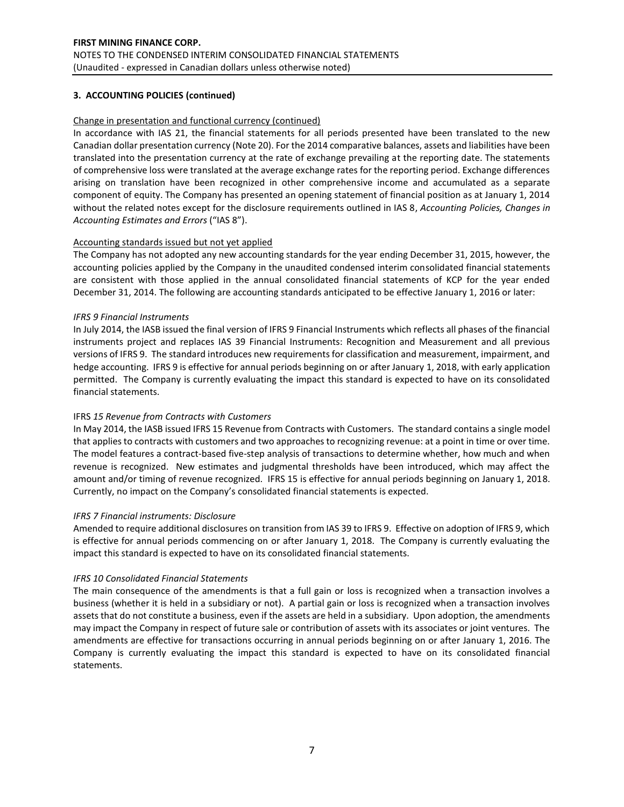# **3. ACCOUNTING POLICIES (continued)**

### Change in presentation and functional currency (continued)

In accordance with IAS 21, the financial statements for all periods presented have been translated to the new Canadian dollar presentation currency (Note 20). For the 2014 comparative balances, assets and liabilities have been translated into the presentation currency at the rate of exchange prevailing at the reporting date. The statements of comprehensive loss were translated at the average exchange rates for the reporting period. Exchange differences arising on translation have been recognized in other comprehensive income and accumulated as a separate component of equity. The Company has presented an opening statement of financial position as at January 1, 2014 without the related notes except for the disclosure requirements outlined in IAS 8, *Accounting Policies, Changes in Accounting Estimates and Errors* ("IAS 8").

### Accounting standards issued but not yet applied

The Company has not adopted any new accounting standards for the year ending December 31, 2015, however, the accounting policies applied by the Company in the unaudited condensed interim consolidated financial statements are consistent with those applied in the annual consolidated financial statements of KCP for the year ended December 31, 2014. The following are accounting standards anticipated to be effective January 1, 2016 or later:

### *IFRS 9 Financial Instruments*

In July 2014, the IASB issued the final version of IFRS 9 Financial Instruments which reflects all phases of the financial instruments project and replaces IAS 39 Financial Instruments: Recognition and Measurement and all previous versions of IFRS 9. The standard introduces new requirements for classification and measurement, impairment, and hedge accounting. IFRS 9 is effective for annual periods beginning on or after January 1, 2018, with early application permitted. The Company is currently evaluating the impact this standard is expected to have on its consolidated financial statements.

# IFRS *15 Revenue from Contracts with Customers*

In May 2014, the IASB issued IFRS 15 Revenue from Contracts with Customers. The standard contains a single model that applies to contracts with customers and two approaches to recognizing revenue: at a point in time or over time. The model features a contract-based five-step analysis of transactions to determine whether, how much and when revenue is recognized. New estimates and judgmental thresholds have been introduced, which may affect the amount and/or timing of revenue recognized. IFRS 15 is effective for annual periods beginning on January 1, 2018. Currently, no impact on the Company's consolidated financial statements is expected.

#### *IFRS 7 Financial instruments: Disclosure*

Amended to require additional disclosures on transition from IAS 39 to IFRS 9. Effective on adoption of IFRS 9, which is effective for annual periods commencing on or after January 1, 2018. The Company is currently evaluating the impact this standard is expected to have on its consolidated financial statements.

#### *IFRS 10 Consolidated Financial Statements*

The main consequence of the amendments is that a full gain or loss is recognized when a transaction involves a business (whether it is held in a subsidiary or not). A partial gain or loss is recognized when a transaction involves assets that do not constitute a business, even if the assets are held in a subsidiary. Upon adoption, the amendments may impact the Company in respect of future sale or contribution of assets with its associates or joint ventures. The amendments are effective for transactions occurring in annual periods beginning on or after January 1, 2016. The Company is currently evaluating the impact this standard is expected to have on its consolidated financial statements.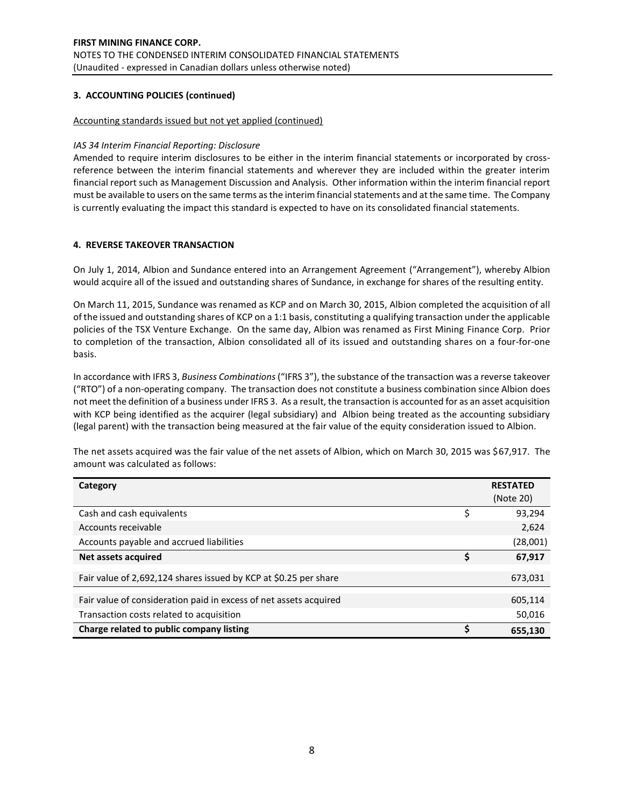### **3. ACCOUNTING POLICIES (continued)**

#### Accounting standards issued but not yet applied (continued)

### *IAS 34 Interim Financial Reporting: Disclosure*

Amended to require interim disclosures to be either in the interim financial statements or incorporated by crossreference between the interim financial statements and wherever they are included within the greater interim financial report such as Management Discussion and Analysis. Other information within the interim financial report must be available to users on the same terms as the interim financial statements and at the same time. The Company is currently evaluating the impact this standard is expected to have on its consolidated financial statements.

### **4. REVERSE TAKEOVER TRANSACTION**

On July 1, 2014, Albion and Sundance entered into an Arrangement Agreement ("Arrangement"), whereby Albion would acquire all of the issued and outstanding shares of Sundance, in exchange for shares of the resulting entity.

On March 11, 2015, Sundance was renamed as KCP and on March 30, 2015, Albion completed the acquisition of all of the issued and outstanding shares of KCP on a 1:1 basis, constituting a qualifying transaction under the applicable policies of the TSX Venture Exchange. On the same day, Albion was renamed as First Mining Finance Corp. Prior to completion of the transaction, Albion consolidated all of its issued and outstanding shares on a four-for-one basis.

In accordance with IFRS 3, *Business Combinations* ("IFRS 3"), the substance of the transaction was a reverse takeover ("RTO") of a non-operating company. The transaction does not constitute a business combination since Albion does not meet the definition of a business under IFRS 3. As a result, the transaction is accounted for as an asset acquisition with KCP being identified as the acquirer (legal subsidiary) and Albion being treated as the accounting subsidiary (legal parent) with the transaction being measured at the fair value of the equity consideration issued to Albion.

| Category                                                          |    | <b>RESTATED</b><br>(Note 20) |
|-------------------------------------------------------------------|----|------------------------------|
| Cash and cash equivalents                                         |    | 93,294                       |
| Accounts receivable                                               |    | 2,624                        |
| Accounts payable and accrued liabilities                          |    | (28,001)                     |
| Net assets acquired                                               | \$ | 67,917                       |
| Fair value of 2,692,124 shares issued by KCP at \$0.25 per share  |    | 673,031                      |
| Fair value of consideration paid in excess of net assets acquired |    | 605,114                      |
|                                                                   |    |                              |
| Transaction costs related to acquisition                          |    | 50,016                       |
| Charge related to public company listing                          | S  | 655,130                      |

The net assets acquired was the fair value of the net assets of Albion, which on March 30, 2015 was \$67,917. The amount was calculated as follows: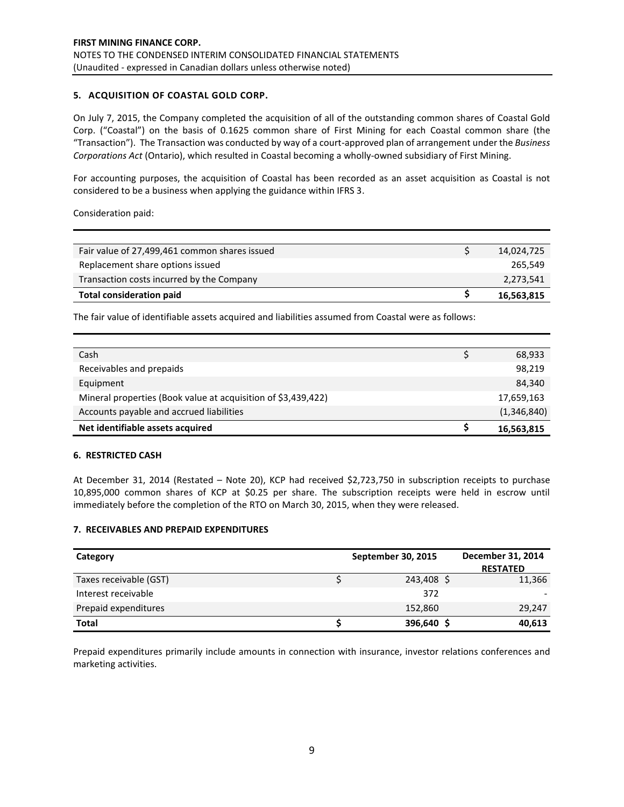# **5. ACQUISITION OF COASTAL GOLD CORP.**

On July 7, 2015, the Company completed the acquisition of all of the outstanding common shares of Coastal Gold Corp. ("Coastal") on the basis of 0.1625 common share of First Mining for each Coastal common share (the "Transaction"). The Transaction was conducted by way of a court-approved plan of arrangement under the *Business Corporations Act* (Ontario), which resulted in Coastal becoming a wholly-owned subsidiary of First Mining.

For accounting purposes, the acquisition of Coastal has been recorded as an asset acquisition as Coastal is not considered to be a business when applying the guidance within IFRS 3.

Consideration paid:

| Fair value of 27,499,461 common shares issued | 14,024,725 |
|-----------------------------------------------|------------|
| Replacement share options issued              | 265.549    |
| Transaction costs incurred by the Company     | 2,273,541  |
| <b>Total consideration paid</b>               | 16,563,815 |

The fair value of identifiable assets acquired and liabilities assumed from Coastal were as follows:

| Cash                                                          | 68,933      |
|---------------------------------------------------------------|-------------|
|                                                               |             |
| Receivables and prepaids                                      | 98,219      |
|                                                               |             |
| Equipment                                                     | 84,340      |
|                                                               |             |
| Mineral properties (Book value at acquisition of \$3,439,422) | 17,659,163  |
|                                                               | (1,346,840) |
| Accounts payable and accrued liabilities                      |             |
| Net identifiable assets acquired                              | 16,563,815  |

### **6. RESTRICTED CASH**

At December 31, 2014 (Restated – Note 20), KCP had received \$2,723,750 in subscription receipts to purchase 10,895,000 common shares of KCP at \$0.25 per share. The subscription receipts were held in escrow until immediately before the completion of the RTO on March 30, 2015, when they were released.

# **7. RECEIVABLES AND PREPAID EXPENDITURES**

| Category               | September 30, 2015 | December 31, 2014<br><b>RESTATED</b> |
|------------------------|--------------------|--------------------------------------|
| Taxes receivable (GST) | 243,408 \$         | 11,366                               |
| Interest receivable    | 372                |                                      |
| Prepaid expenditures   | 152,860            | 29,247                               |
| <b>Total</b>           | 396,640 \$         | 40,613                               |

Prepaid expenditures primarily include amounts in connection with insurance, investor relations conferences and marketing activities.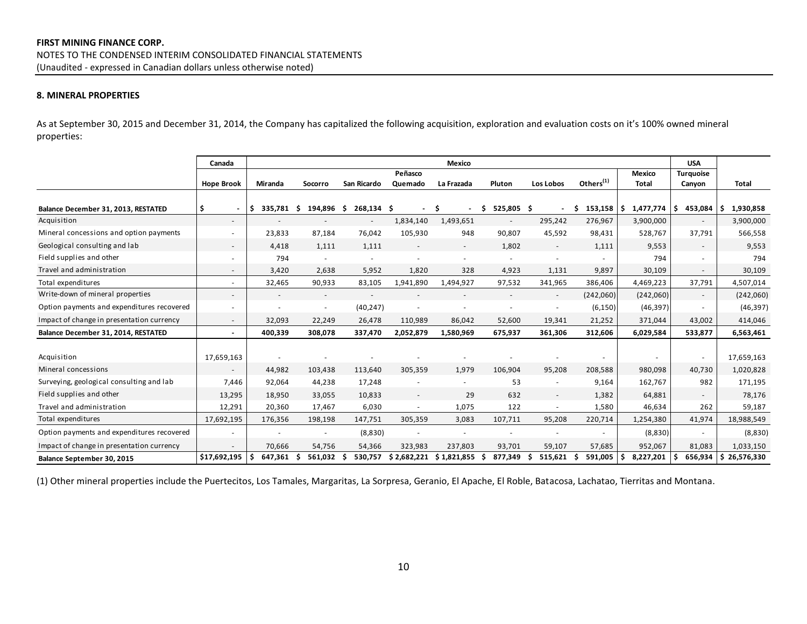# **8. MINERAL PROPERTIES**

As at September 30, 2015 and December 31, 2014, the Company has capitalized the following acquisition, exploration and evaluation costs on it's 100% owned mineral properties:

|                                            | Canada                   |                          |                          |                          |                | Mexico                         |                          |                          |                                |           | <b>USA</b>               |                  |
|--------------------------------------------|--------------------------|--------------------------|--------------------------|--------------------------|----------------|--------------------------------|--------------------------|--------------------------|--------------------------------|-----------|--------------------------|------------------|
|                                            |                          |                          |                          |                          | Peñasco        |                                |                          |                          |                                | Mexico    | <b>Turquoise</b>         |                  |
|                                            | <b>Hope Brook</b>        | Miranda                  | Socorro                  | San Ricardo              | Quemado        | La Frazada                     | Pluton                   | Los Lobos                | Others $(1)$                   | Total     | Canyon                   | Total            |
| Balance December 31, 2013, RESTATED        | \$.<br>$\blacksquare$    | 335,781<br>\$.           | Ŝ.<br>194,896 \$         | 268,134 \$               | $\blacksquare$ | Ŝ.<br>$\overline{\phantom{a}}$ | \$<br>525,805 \$         |                          | - Ś<br>$153,158$ $\frac{1}{5}$ | 1,477,774 | 453,084<br>\$.           | 1,930,858        |
| Acquisition                                | $\overline{\phantom{a}}$ | $\overline{\phantom{a}}$ |                          | $\overline{\phantom{a}}$ | 1,834,140      | 1,493,651                      |                          | 295,242                  | 276,967                        | 3,900,000 | $\overline{\phantom{a}}$ | 3,900,000        |
| Mineral concessions and option payments    |                          | 23,833                   | 87,184                   | 76,042                   | 105,930        | 948                            | 90,807                   | 45,592                   | 98,431                         | 528,767   | 37,791                   | 566,558          |
| Geological consulting and lab              | $\sim$                   | 4,418                    | 1,111                    | 1,111                    |                | $\overline{\phantom{a}}$       | 1,802                    | $\overline{\phantom{a}}$ | 1,111                          | 9,553     | $\overline{\phantom{a}}$ | 9,553            |
| Field supplies and other                   |                          | 794                      |                          |                          |                |                                |                          |                          |                                | 794       |                          | 794              |
| Travel and administration                  | $\overline{\phantom{a}}$ | 3,420                    | 2,638                    | 5,952                    | 1,820          | 328                            | 4,923                    | 1,131                    | 9,897                          | 30,109    | $\overline{\phantom{a}}$ | 30,109           |
| Total expenditures                         | $\overline{\phantom{a}}$ | 32,465                   | 90,933                   | 83,105                   | 1,941,890      | 1,494,927                      | 97,532                   | 341,965                  | 386,406                        | 4,469,223 | 37,791                   | 4,507,014        |
| Write-down of mineral properties           | $\overline{\phantom{a}}$ | $\overline{\phantom{a}}$ | $\sim$                   |                          |                |                                | $\overline{\phantom{a}}$ | $\overline{\phantom{a}}$ | (242,060)                      | (242,060) | $\overline{\phantom{a}}$ | (242,060)        |
| Option payments and expenditures recovered | $\overline{\phantom{a}}$ |                          | $\overline{\phantom{a}}$ | (40, 247)                |                |                                |                          |                          | (6, 150)                       | (46, 397) |                          | (46, 397)        |
| Impact of change in presentation currency  | $\overline{a}$           | 32,093                   | 22,249                   | 26,478                   | 110,989        | 86,042                         | 52,600                   | 19,341                   | 21,252                         | 371,044   | 43,002                   | 414,046          |
| Balance December 31, 2014, RESTATED        | $\overline{\phantom{a}}$ | 400,339                  | 308,078                  | 337,470                  | 2,052,879      | 1,580,969                      | 675,937                  | 361,306                  | 312,606                        | 6,029,584 | 533,877                  | 6,563,461        |
| Acquisition                                | 17,659,163               |                          |                          |                          |                |                                |                          |                          |                                |           |                          | 17,659,163       |
| Mineral concessions                        | $\overline{\phantom{a}}$ | 44,982                   | 103,438                  | 113,640                  | 305,359        | 1,979                          | 106,904                  | 95,208                   | 208,588                        | 980,098   | 40,730                   | 1,020,828        |
| Surveying, geological consulting and lab   | 7,446                    | 92,064                   | 44,238                   | 17,248                   |                |                                | 53                       |                          | 9,164                          | 162,767   | 982                      | 171,195          |
| Field supplies and other                   | 13,295                   | 18,950                   | 33,055                   | 10,833                   | $\sim$         | 29                             | 632                      | $\overline{\phantom{a}}$ | 1,382                          | 64,881    | $\sim$                   | 78,176           |
| Travel and administration                  | 12,291                   | 20,360                   | 17,467                   | 6,030                    | $\sim$         | 1,075                          | 122                      | $\overline{\phantom{a}}$ | 1,580                          | 46,634    | 262                      | 59,187           |
| Total expenditures                         | 17,692,195               | 176,356                  | 198,198                  | 147,751                  | 305,359        | 3,083                          | 107,711                  | 95,208                   | 220,714                        | 1,254,380 | 41,974                   | 18,988,549       |
| Option payments and expenditures recovered |                          |                          |                          | (8,830)                  |                |                                |                          |                          |                                | (8,830)   |                          | (8,830)          |
| Impact of change in presentation currency  |                          | 70,666                   | 54,756                   | 54,366                   | 323,983        | 237,803                        | 93,701                   | 59,107                   | 57,685                         | 952,067   | 81,083                   | 1,033,150        |
| Balance September 30, 2015                 | \$17,692,195             | 647,361                  | 561,032                  | 530,757                  | \$2,682,221    | \$1,821,855                    | 877,349<br>S             | 515,621                  | 591,005<br>S                   | 8,227,201 | Ŝ<br>656,934             | Ŝ.<br>26,576,330 |

(1) Other mineral properties include the Puertecitos, Los Tamales, Margaritas, La Sorpresa, Geranio, El Apache, El Roble, Batacosa, Lachatao, Tierritas and Montana.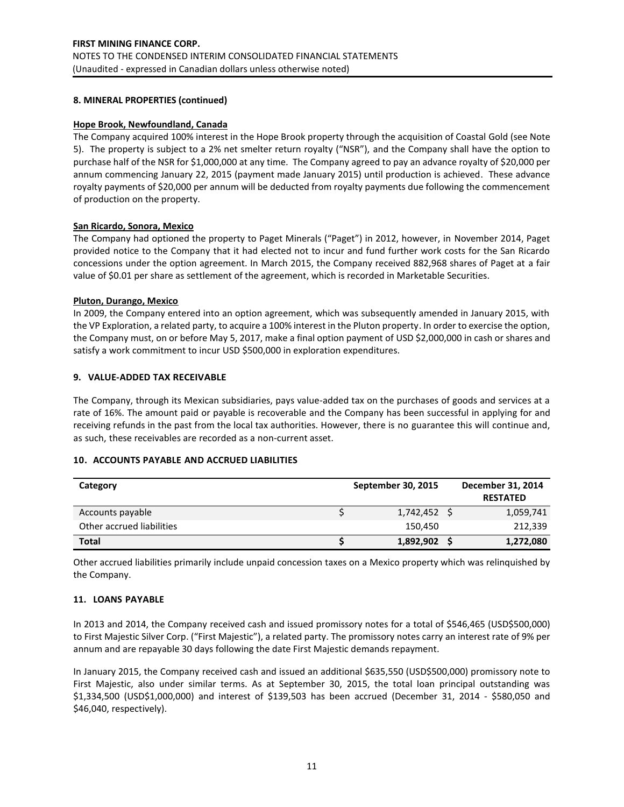### **8. MINERAL PROPERTIES (continued)**

### **Hope Brook, Newfoundland, Canada**

The Company acquired 100% interest in the Hope Brook property through the acquisition of Coastal Gold (see Note 5). The property is subject to a 2% net smelter return royalty ("NSR"), and the Company shall have the option to purchase half of the NSR for \$1,000,000 at any time. The Company agreed to pay an advance royalty of \$20,000 per annum commencing January 22, 2015 (payment made January 2015) until production is achieved. These advance royalty payments of \$20,000 per annum will be deducted from royalty payments due following the commencement of production on the property.

### **San Ricardo, Sonora, Mexico**

The Company had optioned the property to Paget Minerals ("Paget") in 2012, however, in November 2014, Paget provided notice to the Company that it had elected not to incur and fund further work costs for the San Ricardo concessions under the option agreement. In March 2015, the Company received 882,968 shares of Paget at a fair value of \$0.01 per share as settlement of the agreement, which is recorded in Marketable Securities.

#### **Pluton, Durango, Mexico**

In 2009, the Company entered into an option agreement, which was subsequently amended in January 2015, with the VP Exploration, a related party, to acquire a 100% interest in the Pluton property. In order to exercise the option, the Company must, on or before May 5, 2017, make a final option payment of USD \$2,000,000 in cash or shares and satisfy a work commitment to incur USD \$500,000 in exploration expenditures.

### **9. VALUE-ADDED TAX RECEIVABLE**

The Company, through its Mexican subsidiaries, pays value-added tax on the purchases of goods and services at a rate of 16%. The amount paid or payable is recoverable and the Company has been successful in applying for and receiving refunds in the past from the local tax authorities. However, there is no guarantee this will continue and, as such, these receivables are recorded as a non-current asset.

# **10. ACCOUNTS PAYABLE AND ACCRUED LIABILITIES**

| Category                  | September 30, 2015 | December 31, 2014<br><b>RESTATED</b> |
|---------------------------|--------------------|--------------------------------------|
| Accounts payable          | 1,742,452 \$       | 1,059,741                            |
| Other accrued liabilities | 150,450            | 212,339                              |
| <b>Total</b>              | 1,892,902 \$       | 1,272,080                            |

Other accrued liabilities primarily include unpaid concession taxes on a Mexico property which was relinquished by the Company.

# **11. LOANS PAYABLE**

In 2013 and 2014, the Company received cash and issued promissory notes for a total of \$546,465 (USD\$500,000) to First Majestic Silver Corp. ("First Majestic"), a related party. The promissory notes carry an interest rate of 9% per annum and are repayable 30 days following the date First Majestic demands repayment.

In January 2015, the Company received cash and issued an additional \$635,550 (USD\$500,000) promissory note to First Majestic, also under similar terms. As at September 30, 2015, the total loan principal outstanding was \$1,334,500 (USD\$1,000,000) and interest of \$139,503 has been accrued (December 31, 2014 - \$580,050 and \$46,040, respectively).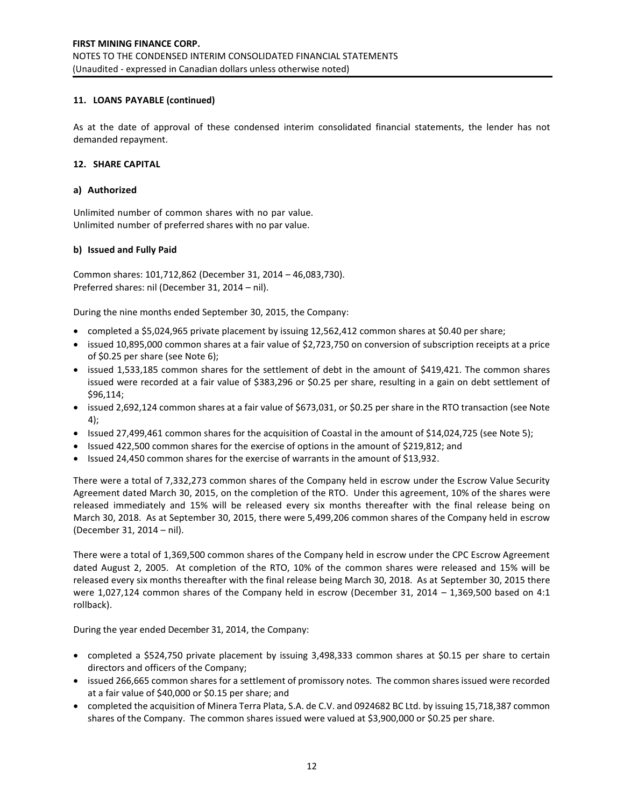# **11. LOANS PAYABLE (continued)**

As at the date of approval of these condensed interim consolidated financial statements, the lender has not demanded repayment.

# **12. SHARE CAPITAL**

### **a) Authorized**

Unlimited number of common shares with no par value. Unlimited number of preferred shares with no par value.

# **b) Issued and Fully Paid**

Common shares: 101,712,862 (December 31, 2014 – 46,083,730). Preferred shares: nil (December 31, 2014 – nil).

During the nine months ended September 30, 2015, the Company:

- completed a \$5,024,965 private placement by issuing 12,562,412 common shares at \$0.40 per share;
- issued 10,895,000 common shares at a fair value of \$2,723,750 on conversion of subscription receipts at a price of \$0.25 per share (see Note 6);
- issued 1,533,185 common shares for the settlement of debt in the amount of \$419,421. The common shares issued were recorded at a fair value of \$383,296 or \$0.25 per share, resulting in a gain on debt settlement of \$96,114;
- issued 2,692,124 common shares at a fair value of \$673,031, or \$0.25 per share in the RTO transaction (see Note 4);
- Issued 27,499,461 common shares for the acquisition of Coastal in the amount of \$14,024,725 (see Note 5);
- Issued 422,500 common shares for the exercise of options in the amount of \$219,812; and
- Issued 24,450 common shares for the exercise of warrants in the amount of \$13,932.

There were a total of 7,332,273 common shares of the Company held in escrow under the Escrow Value Security Agreement dated March 30, 2015, on the completion of the RTO. Under this agreement, 10% of the shares were released immediately and 15% will be released every six months thereafter with the final release being on March 30, 2018. As at September 30, 2015, there were 5,499,206 common shares of the Company held in escrow (December 31, 2014 – nil).

There were a total of 1,369,500 common shares of the Company held in escrow under the CPC Escrow Agreement dated August 2, 2005. At completion of the RTO, 10% of the common shares were released and 15% will be released every six months thereafter with the final release being March 30, 2018. As at September 30, 2015 there were 1,027,124 common shares of the Company held in escrow (December 31, 2014 – 1,369,500 based on 4:1 rollback).

During the year ended December 31, 2014, the Company:

- completed a \$524,750 private placement by issuing 3,498,333 common shares at \$0.15 per share to certain directors and officers of the Company;
- issued 266,665 common shares for a settlement of promissory notes. The common shares issued were recorded at a fair value of \$40,000 or \$0.15 per share; and
- completed the acquisition of Minera Terra Plata, S.A. de C.V. and 0924682 BC Ltd. by issuing 15,718,387 common shares of the Company. The common shares issued were valued at \$3,900,000 or \$0.25 per share.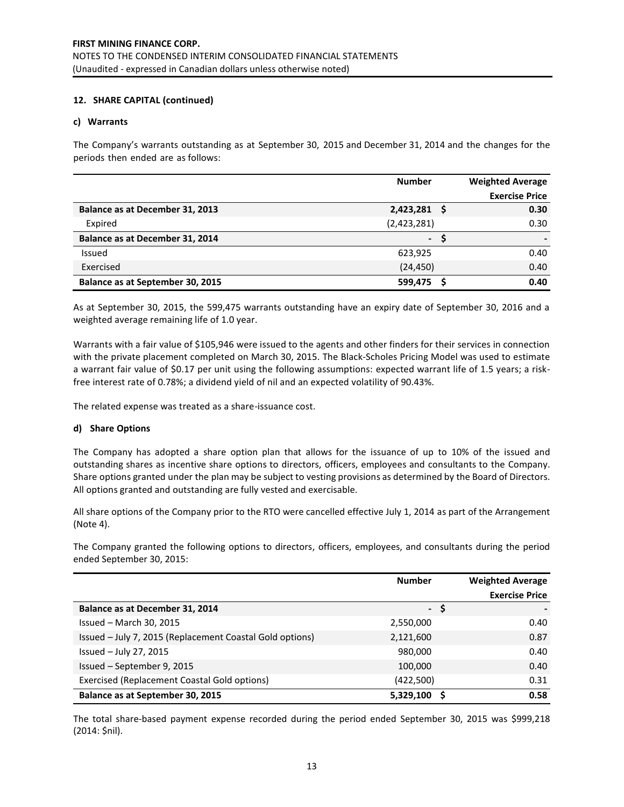# **12. SHARE CAPITAL (continued)**

### **c) Warrants**

The Company's warrants outstanding as at September 30, 2015 and December 31, 2014 and the changes for the periods then ended are as follows:

|                                  | <b>Number</b> | <b>Weighted Average</b> |
|----------------------------------|---------------|-------------------------|
|                                  |               | <b>Exercise Price</b>   |
| Balance as at December 31, 2013  | 2,423,281 \$  | 0.30                    |
| Expired                          | (2,423,281)   | 0.30                    |
| Balance as at December 31, 2014  | $\sim$        |                         |
| Issued                           | 623,925       | 0.40                    |
| Exercised                        | (24, 450)     | 0.40                    |
| Balance as at September 30, 2015 | 599,475       | 0.40                    |

As at September 30, 2015, the 599,475 warrants outstanding have an expiry date of September 30, 2016 and a weighted average remaining life of 1.0 year.

Warrants with a fair value of \$105,946 were issued to the agents and other finders for their services in connection with the private placement completed on March 30, 2015. The Black-Scholes Pricing Model was used to estimate a warrant fair value of \$0.17 per unit using the following assumptions: expected warrant life of 1.5 years; a riskfree interest rate of 0.78%; a dividend yield of nil and an expected volatility of 90.43%.

The related expense was treated as a share-issuance cost.

# **d) Share Options**

The Company has adopted a share option plan that allows for the issuance of up to 10% of the issued and outstanding shares as incentive share options to directors, officers, employees and consultants to the Company. Share options granted under the plan may be subject to vesting provisions as determined by the Board of Directors. All options granted and outstanding are fully vested and exercisable.

All share options of the Company prior to the RTO were cancelled effective July 1, 2014 as part of the Arrangement (Note 4).

The Company granted the following options to directors, officers, employees, and consultants during the period ended September 30, 2015:

|                                                          | <b>Number</b> | <b>Weighted Average</b><br><b>Exercise Price</b> |
|----------------------------------------------------------|---------------|--------------------------------------------------|
| Balance as at December 31, 2014                          | $-5$          |                                                  |
| Issued - March 30, 2015                                  | 2,550,000     | 0.40                                             |
| Issued - July 7, 2015 (Replacement Coastal Gold options) | 2,121,600     | 0.87                                             |
| Issued $-$ July 27, 2015                                 | 980,000       | 0.40                                             |
| Issued - September 9, 2015                               | 100,000       | 0.40                                             |
| Exercised (Replacement Coastal Gold options)             | (422,500)     | 0.31                                             |
| Balance as at September 30, 2015                         | 5,329,100     | 0.58                                             |

The total share-based payment expense recorded during the period ended September 30, 2015 was \$999,218 (2014: \$nil).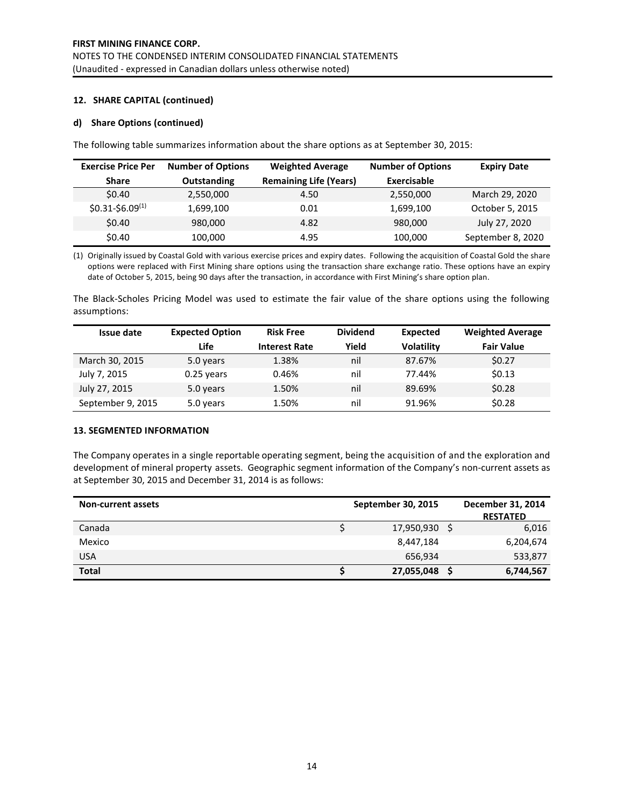# **12. SHARE CAPITAL (continued)**

### **d) Share Options (continued)**

The following table summarizes information about the share options as at September 30, 2015:

| <b>Exercise Price Per</b> | <b>Number of Options</b> | <b>Weighted Average</b>       | <b>Number of Options</b> | <b>Expiry Date</b> |
|---------------------------|--------------------------|-------------------------------|--------------------------|--------------------|
| <b>Share</b>              | <b>Outstanding</b>       | <b>Remaining Life (Years)</b> | Exercisable              |                    |
| <b>SO.40</b>              | 2,550,000                | 4.50                          | 2,550,000                | March 29, 2020     |
| $$0.31-$6.09(1)$          | 1,699,100                | 0.01                          | 1,699,100                | October 5, 2015    |
| \$0.40                    | 980,000                  | 4.82                          | 980,000                  | July 27, 2020      |
| \$0.40                    | 100,000                  | 4.95                          | 100,000                  | September 8, 2020  |

(1) Originally issued by Coastal Gold with various exercise prices and expiry dates. Following the acquisition of Coastal Gold the share options were replaced with First Mining share options using the transaction share exchange ratio. These options have an expiry date of October 5, 2015, being 90 days after the transaction, in accordance with First Mining's share option plan.

The Black-Scholes Pricing Model was used to estimate the fair value of the share options using the following assumptions:

| Issue date        | <b>Expected Option</b> | <b>Risk Free</b>     | <b>Dividend</b> | Expected          | <b>Weighted Average</b> |
|-------------------|------------------------|----------------------|-----------------|-------------------|-------------------------|
|                   | Life                   | <b>Interest Rate</b> | Yield           | <b>Volatility</b> | <b>Fair Value</b>       |
| March 30, 2015    | 5.0 years              | 1.38%                | nil             | 87.67%            | \$0.27                  |
| July 7, 2015      | $0.25$ years           | 0.46%                | nil             | 77.44%            | \$0.13                  |
| July 27, 2015     | 5.0 years              | 1.50%                | nil             | 89.69%            | \$0.28                  |
| September 9, 2015 | 5.0 years              | 1.50%                | nil             | 91.96%            | \$0.28                  |

#### **13. SEGMENTED INFORMATION**

The Company operates in a single reportable operating segment, being the acquisition of and the exploration and development of mineral property assets. Geographic segment information of the Company's non-current assets as at September 30, 2015 and December 31, 2014 is as follows:

| <b>Non-current assets</b> | <b>September 30, 2015</b> | December 31, 2014 |
|---------------------------|---------------------------|-------------------|
|                           |                           | <b>RESTATED</b>   |
| Canada                    | 17,950,930 \$             | 6,016             |
| Mexico                    | 8,447,184                 | 6,204,674         |
| <b>USA</b>                | 656,934                   | 533,877           |
| <b>Total</b>              | 27,055,048                | 6,744,567         |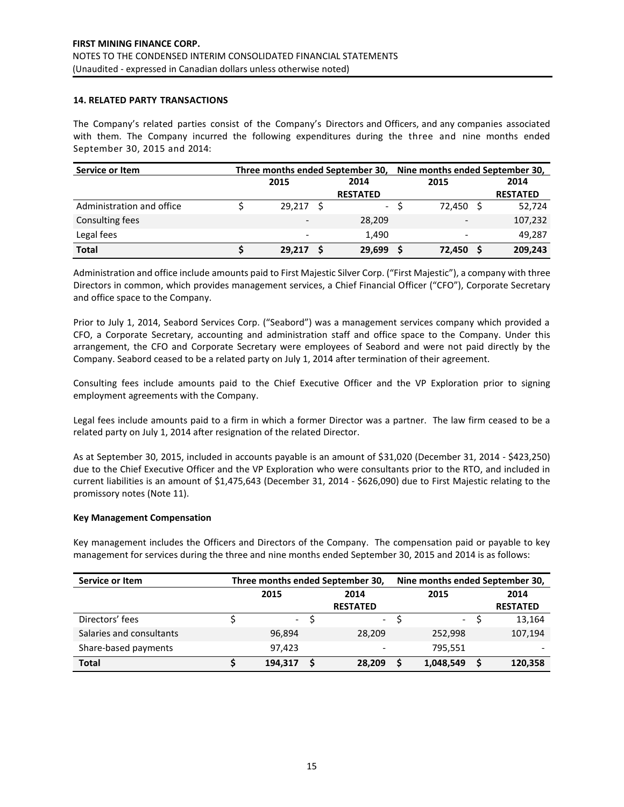# **14. RELATED PARTY TRANSACTIONS**

The Company's related parties consist of the Company's Directors and Officers, and any companies associated with them. The Company incurred the following expenditures during the three and nine months ended September 30, 2015 and 2014:

| Service or Item           |                          | Three months ended September 30, | Nine months ended September 30, |  |                          |  |                 |
|---------------------------|--------------------------|----------------------------------|---------------------------------|--|--------------------------|--|-----------------|
|                           | 2015                     |                                  | 2014                            |  | 2015                     |  | 2014            |
|                           |                          |                                  | <b>RESTATED</b>                 |  |                          |  | <b>RESTATED</b> |
| Administration and office | 29,217                   | - S                              | $\sim$                          |  | 72,450                   |  | 52,724          |
| Consulting fees           | $\overline{\phantom{a}}$ |                                  | 28,209                          |  | $\overline{\phantom{a}}$ |  | 107,232         |
| Legal fees                | $\overline{\phantom{a}}$ |                                  | 1.490                           |  | $\overline{\phantom{a}}$ |  | 49,287          |
| <b>Total</b>              | 29,217                   |                                  | 29,699                          |  | 72,450                   |  | 209,243         |

Administration and office include amounts paid to First Majestic Silver Corp. ("First Majestic"), a company with three Directors in common, which provides management services, a Chief Financial Officer ("CFO"), Corporate Secretary and office space to the Company.

Prior to July 1, 2014, Seabord Services Corp. ("Seabord") was a management services company which provided a CFO, a Corporate Secretary, accounting and administration staff and office space to the Company. Under this arrangement, the CFO and Corporate Secretary were employees of Seabord and were not paid directly by the Company. Seabord ceased to be a related party on July 1, 2014 after termination of their agreement.

Consulting fees include amounts paid to the Chief Executive Officer and the VP Exploration prior to signing employment agreements with the Company.

Legal fees include amounts paid to a firm in which a former Director was a partner. The law firm ceased to be a related party on July 1, 2014 after resignation of the related Director.

As at September 30, 2015, included in accounts payable is an amount of \$31,020 (December 31, 2014 - \$423,250) due to the Chief Executive Officer and the VP Exploration who were consultants prior to the RTO, and included in current liabilities is an amount of \$1,475,643 (December 31, 2014 - \$626,090) due to First Majestic relating to the promissory notes (Note 11).

#### **Key Management Compensation**

Key management includes the Officers and Directors of the Company. The compensation paid or payable to key management for services during the three and nine months ended September 30, 2015 and 2014 is as follows:

| Service or Item          |         | Three months ended September 30, | Nine months ended September 30, |  |                     |  |                          |
|--------------------------|---------|----------------------------------|---------------------------------|--|---------------------|--|--------------------------|
|                          | 2015    |                                  | 2014                            |  |                     |  | 2014                     |
|                          |         |                                  | <b>RESTATED</b>                 |  |                     |  | <b>RESTATED</b>          |
| Directors' fees          |         | $-5$                             | $\mathcal{L}^{\text{max}}$      |  | $\omega_{\rm{eff}}$ |  | 13,164                   |
| Salaries and consultants | 96.894  |                                  | 28.209                          |  | 252.998             |  | 107,194                  |
| Share-based payments     | 97.423  |                                  | $\qquad \qquad$                 |  | 795.551             |  | $\overline{\phantom{0}}$ |
| <b>Total</b>             | 194.317 |                                  | 28,209                          |  | 1,048,549           |  | 120,358                  |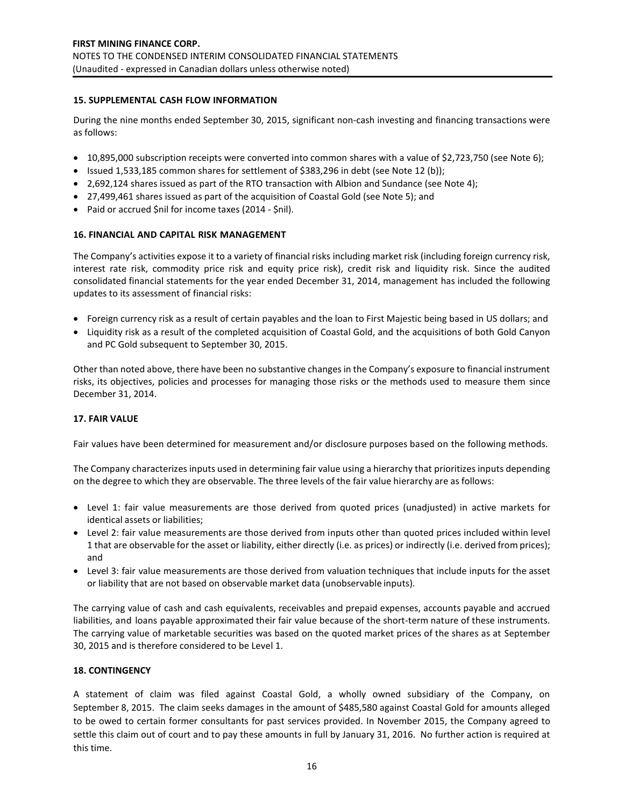# **15. SUPPLEMENTAL CASH FLOW INFORMATION**

During the nine months ended September 30, 2015, significant non-cash investing and financing transactions were as follows:

- $\bullet$  10,895,000 subscription receipts were converted into common shares with a value of \$2,723,750 (see Note 6);
- $\bullet$  Issued 1,533,185 common shares for settlement of \$383,296 in debt (see Note 12 (b));
- 2,692,124 shares issued as part of the RTO transaction with Albion and Sundance (see Note 4);
- 27,499,461 shares issued as part of the acquisition of Coastal Gold (see Note 5); and
- Paid or accrued \$nil for income taxes (2014 \$nil).

### **16. FINANCIAL AND CAPITAL RISK MANAGEMENT**

The Company's activities expose it to a variety of financial risks including market risk (including foreign currency risk, interest rate risk, commodity price risk and equity price risk), credit risk and liquidity risk. Since the audited consolidated financial statements for the year ended December 31, 2014, management has included the following updates to its assessment of financial risks:

- Foreign currency risk as a result of certain payables and the loan to First Majestic being based in US dollars; and
- Liquidity risk as a result of the completed acquisition of Coastal Gold, and the acquisitions of both Gold Canyon and PC Gold subsequent to September 30, 2015.

Other than noted above, there have been no substantive changes in the Company's exposure to financial instrument risks, its objectives, policies and processes for managing those risks or the methods used to measure them since December 31, 2014.

# **17. FAIR VALUE**

Fair values have been determined for measurement and/or disclosure purposes based on the following methods.

The Company characterizes inputs used in determining fair value using a hierarchy that prioritizes inputs depending on the degree to which they are observable. The three levels of the fair value hierarchy are as follows:

- Level 1: fair value measurements are those derived from quoted prices (unadjusted) in active markets for identical assets or liabilities;
- Level 2: fair value measurements are those derived from inputs other than quoted prices included within level 1 that are observable for the asset or liability, either directly (i.e. as prices) or indirectly (i.e. derived from prices); and
- Level 3: fair value measurements are those derived from valuation techniques that include inputs for the asset or liability that are not based on observable market data (unobservable inputs).

The carrying value of cash and cash equivalents, receivables and prepaid expenses, accounts payable and accrued liabilities, and loans payable approximated their fair value because of the short-term nature of these instruments. The carrying value of marketable securities was based on the quoted market prices of the shares as at September 30, 2015 and is therefore considered to be Level 1.

# **18. CONTINGENCY**

A statement of claim was filed against Coastal Gold, a wholly owned subsidiary of the Company, on September 8, 2015. The claim seeks damages in the amount of \$485,580 against Coastal Gold for amounts alleged to be owed to certain former consultants for past services provided. In November 2015, the Company agreed to settle this claim out of court and to pay these amounts in full by January 31, 2016. No further action is required at this time.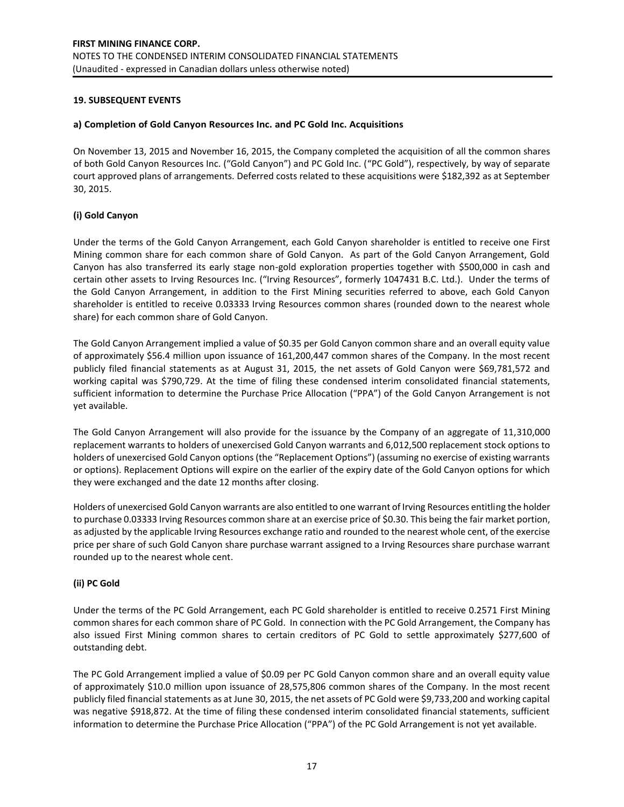# **19. SUBSEQUENT EVENTS**

### **a) Completion of Gold Canyon Resources Inc. and PC Gold Inc. Acquisitions**

On November 13, 2015 and November 16, 2015, the Company completed the acquisition of all the common shares of both Gold Canyon Resources Inc. ("Gold Canyon") and PC Gold Inc. ("PC Gold"), respectively, by way of separate court approved plans of arrangements. Deferred costs related to these acquisitions were \$182,392 as at September 30, 2015.

# **(i) Gold Canyon**

Under the terms of the Gold Canyon Arrangement, each Gold Canyon shareholder is entitled to receive one First Mining common share for each common share of Gold Canyon. As part of the Gold Canyon Arrangement, Gold Canyon has also transferred its early stage non-gold exploration properties together with \$500,000 in cash and certain other assets to Irving Resources Inc. ("Irving Resources", formerly 1047431 B.C. Ltd.). Under the terms of the Gold Canyon Arrangement, in addition to the First Mining securities referred to above, each Gold Canyon shareholder is entitled to receive 0.03333 Irving Resources common shares (rounded down to the nearest whole share) for each common share of Gold Canyon.

The Gold Canyon Arrangement implied a value of \$0.35 per Gold Canyon common share and an overall equity value of approximately \$56.4 million upon issuance of 161,200,447 common shares of the Company. In the most recent publicly filed financial statements as at August 31, 2015, the net assets of Gold Canyon were \$69,781,572 and working capital was \$790,729. At the time of filing these condensed interim consolidated financial statements, sufficient information to determine the Purchase Price Allocation ("PPA") of the Gold Canyon Arrangement is not yet available.

The Gold Canyon Arrangement will also provide for the issuance by the Company of an aggregate of 11,310,000 replacement warrants to holders of unexercised Gold Canyon warrants and 6,012,500 replacement stock options to holders of unexercised Gold Canyon options (the "Replacement Options") (assuming no exercise of existing warrants or options). Replacement Options will expire on the earlier of the expiry date of the Gold Canyon options for which they were exchanged and the date 12 months after closing.

Holders of unexercised Gold Canyon warrants are also entitled to one warrant of Irving Resources entitling the holder to purchase 0.03333 Irving Resources common share at an exercise price of \$0.30. This being the fair market portion, as adjusted by the applicable Irving Resources exchange ratio and rounded to the nearest whole cent, of the exercise price per share of such Gold Canyon share purchase warrant assigned to a Irving Resources share purchase warrant rounded up to the nearest whole cent.

# **(ii) PC Gold**

Under the terms of the PC Gold Arrangement, each PC Gold shareholder is entitled to receive 0.2571 First Mining common shares for each common share of PC Gold. In connection with the PC Gold Arrangement, the Company has also issued First Mining common shares to certain creditors of PC Gold to settle approximately \$277,600 of outstanding debt.

The PC Gold Arrangement implied a value of \$0.09 per PC Gold Canyon common share and an overall equity value of approximately \$10.0 million upon issuance of 28,575,806 common shares of the Company. In the most recent publicly filed financial statements as at June 30, 2015, the net assets of PC Gold were \$9,733,200 and working capital was negative \$918,872. At the time of filing these condensed interim consolidated financial statements, sufficient information to determine the Purchase Price Allocation ("PPA") of the PC Gold Arrangement is not yet available.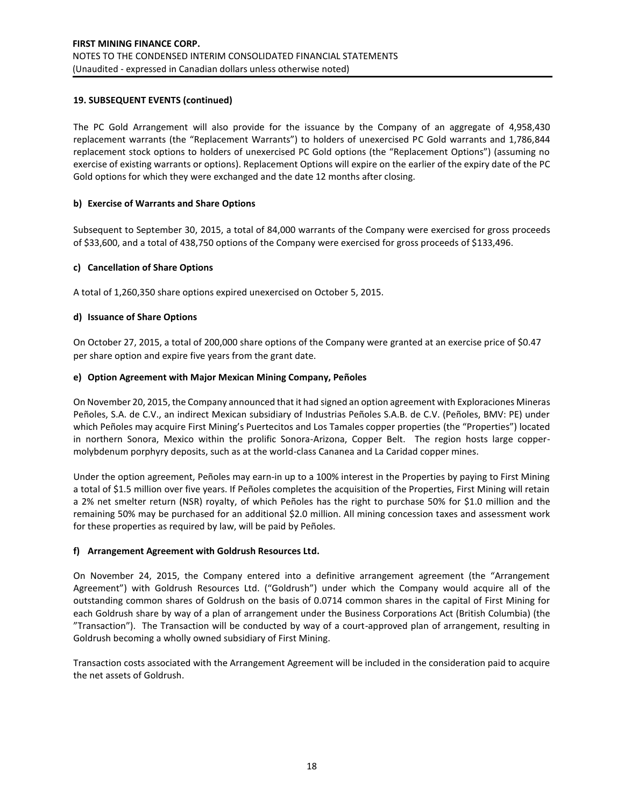# **19. SUBSEQUENT EVENTS (continued)**

The PC Gold Arrangement will also provide for the issuance by the Company of an aggregate of 4,958,430 replacement warrants (the "Replacement Warrants") to holders of unexercised PC Gold warrants and 1,786,844 replacement stock options to holders of unexercised PC Gold options (the "Replacement Options") (assuming no exercise of existing warrants or options). Replacement Options will expire on the earlier of the expiry date of the PC Gold options for which they were exchanged and the date 12 months after closing.

# **b) Exercise of Warrants and Share Options**

Subsequent to September 30, 2015, a total of 84,000 warrants of the Company were exercised for gross proceeds of \$33,600, and a total of 438,750 options of the Company were exercised for gross proceeds of \$133,496.

# **c) Cancellation of Share Options**

A total of 1,260,350 share options expired unexercised on October 5, 2015.

# **d) Issuance of Share Options**

On October 27, 2015, a total of 200,000 share options of the Company were granted at an exercise price of \$0.47 per share option and expire five years from the grant date.

# **e) Option Agreement with Major Mexican Mining Company, Peñoles**

On November 20, 2015, the Company announced that it had signed an option agreement with Exploraciones Mineras Peñoles, S.A. de C.V., an indirect Mexican subsidiary of Industrias Peñoles S.A.B. de C.V. (Peñoles, BMV: PE) under which Peñoles may acquire First Mining's Puertecitos and Los Tamales copper properties (the "Properties") located in northern Sonora, Mexico within the prolific Sonora-Arizona, Copper Belt. The region hosts large coppermolybdenum porphyry deposits, such as at the world-class Cananea and La Caridad copper mines.

Under the option agreement, Peñoles may earn-in up to a 100% interest in the Properties by paying to First Mining a total of \$1.5 million over five years. If Peñoles completes the acquisition of the Properties, First Mining will retain a 2% net smelter return (NSR) royalty, of which Peñoles has the right to purchase 50% for \$1.0 million and the remaining 50% may be purchased for an additional \$2.0 million. All mining concession taxes and assessment work for these properties as required by law, will be paid by Peñoles.

# **f) Arrangement Agreement with Goldrush Resources Ltd.**

On November 24, 2015, the Company entered into a definitive arrangement agreement (the "Arrangement Agreement") with Goldrush Resources Ltd. ("Goldrush") under which the Company would acquire all of the outstanding common shares of Goldrush on the basis of 0.0714 common shares in the capital of First Mining for each Goldrush share by way of a plan of arrangement under the Business Corporations Act (British Columbia) (the "Transaction"). The Transaction will be conducted by way of a court-approved plan of arrangement, resulting in Goldrush becoming a wholly owned subsidiary of First Mining.

Transaction costs associated with the Arrangement Agreement will be included in the consideration paid to acquire the net assets of Goldrush.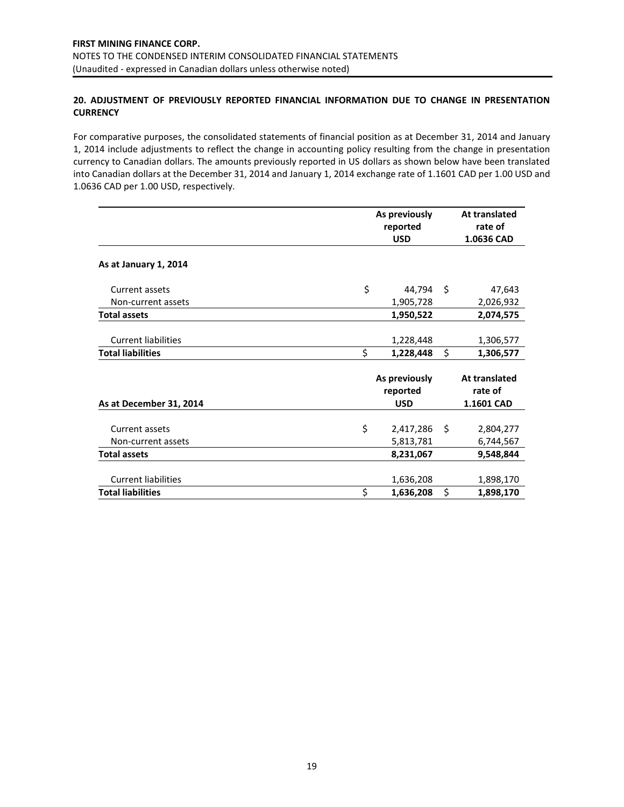# **20. ADJUSTMENT OF PREVIOUSLY REPORTED FINANCIAL INFORMATION DUE TO CHANGE IN PRESENTATION CURRENCY**

For comparative purposes, the consolidated statements of financial position as at December 31, 2014 and January 1, 2014 include adjustments to reflect the change in accounting policy resulting from the change in presentation currency to Canadian dollars. The amounts previously reported in US dollars as shown below have been translated into Canadian dollars at the December 31, 2014 and January 1, 2014 exchange rate of 1.1601 CAD per 1.00 USD and 1.0636 CAD per 1.00 USD, respectively.

|                            | As previously<br>reported<br><b>USD</b> | At translated<br>rate of<br>1.0636 CAD |
|----------------------------|-----------------------------------------|----------------------------------------|
| As at January 1, 2014      |                                         |                                        |
| Current assets             | \$<br>44,794                            | \$<br>47,643                           |
| Non-current assets         | 1,905,728                               | 2,026,932                              |
| <b>Total assets</b>        | 1,950,522                               | 2,074,575                              |
|                            |                                         |                                        |
| <b>Current liabilities</b> | 1,228,448                               | 1,306,577                              |
| <b>Total liabilities</b>   | \$<br>1,228,448                         | \$<br>1,306,577                        |
|                            | As previously<br>reported               | At translated<br>rate of               |
| As at December 31, 2014    | <b>USD</b>                              | 1.1601 CAD                             |
| Current assets             | \$<br>2,417,286                         | \$<br>2,804,277                        |
| Non-current assets         | 5,813,781                               | 6,744,567                              |
| <b>Total assets</b>        | 8,231,067                               | 9,548,844                              |
| <b>Current liabilities</b> | 1,636,208                               | 1,898,170                              |
| <b>Total liabilities</b>   | \$<br>1,636,208                         | \$<br>1,898,170                        |